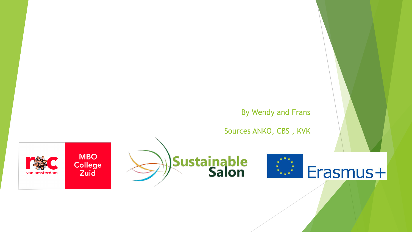#### By Wendy and Frans

Sources ANKO, CBS , KVK





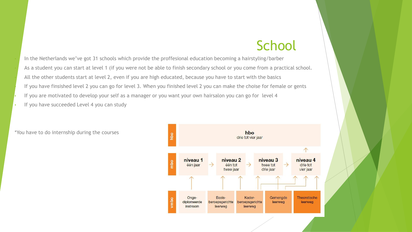#### **School**

• In the Netherlands we've got 31 schools which provide the proffesional education becoming a hairstyling/barber • As a student you can start at level 1 (if you were not be able to finish secondary school or you come from a practical school. • All the other students start at level 2, even if you are high educated, because you have to start with the basics If you have finsished level 2 you can go for level 3. When you finished level 2 you can make the choise for female or gents If you are motivated to develop your self as a manager or you want your own hairsalon you can go for level 4

If you have succeeded Level 4 you can study



\*You have to do internship during the courses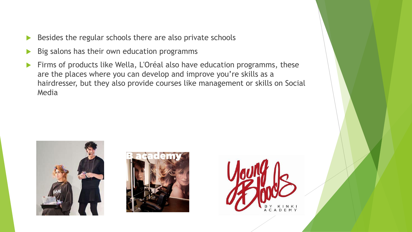- $\triangleright$  Besides the regular schools there are also private schools
- $\triangleright$  Big salons has their own education programms
- Firms of products like Wella, L'Oréal also have education programms, these are the places where you can develop and improve you're skills as a hairdresser, but they also provide courses like management or skills on Social Media





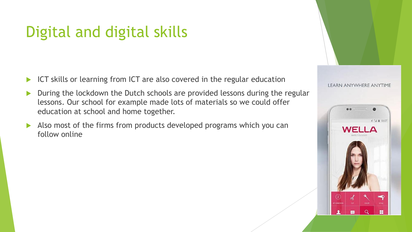# Digital and digital skills

- ICT skills or learning from ICT are also covered in the regular education
- During the lockdown the Dutch schools are provided lessons during the regular lessons. Our school for example made lots of materials so we could offer education at school and home together.
- Also most of the firms from products developed programs which you can follow online

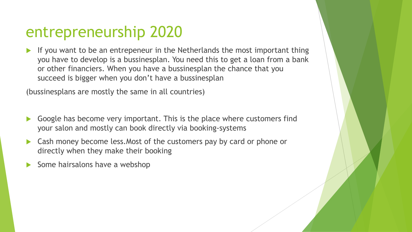#### entrepreneurship 2020

 If you want to be an entrepeneur in the Netherlands the most important thing you have to develop is a bussinesplan. You need this to get a loan from a bank or other financiers. When you have a bussinesplan the chance that you succeed is bigger when you don't have a bussinesplan

(bussinesplans are mostly the same in all countries)

- Google has become very important. This is the place where customers find your salon and mostly can book directly via booking-systems
- Cash money become less.Most of the customers pay by card or phone or directly when they make their booking
- Some hairsalons have a webshop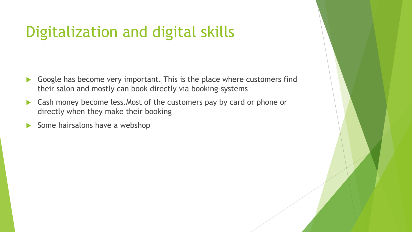# Digitalization and digital skills

- Google has become very important. This is the place where customers find their salon and mostly can book directly via booking-systems
- ▶ Cash money become less. Most of the customers pay by card or phone or directly when they make their booking
- $\triangleright$  Some hairsalons have a webshop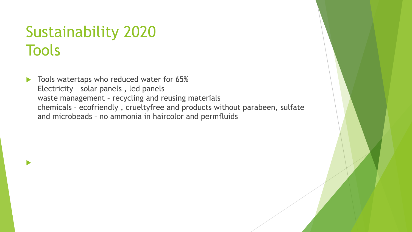# Sustainability 2020 **Tools**

 $\blacktriangleright$ 

Tools watertaps who reduced water for 65% Electricity – solar panels , led panels waste management – recycling and reusing materials chemicals – ecofriendly , crueltyfree and products without parabeen, sulfate and microbeads – no ammonia in haircolor and permfluids